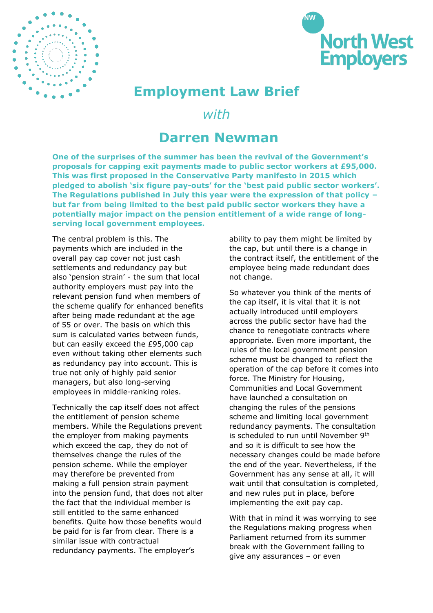



## **Employment Law Brief**

*with*

## **Darren Newman**

**One of the surprises of the summer has been the revival of the Government's proposals for capping exit payments made to public sector workers at £95,000. This was first proposed in the Conservative Party manifesto in 2015 which pledged to abolish 'six figure pay-outs' for the 'best paid public sector workers'. The Regulations published in July this year were the expression of that policy – but far from being limited to the best paid public sector workers they have a potentially major impact on the pension entitlement of a wide range of longserving local government employees.** 

The central problem is this. The payments which are included in the overall pay cap cover not just cash settlements and redundancy pay but also 'pension strain' - the sum that local authority employers must pay into the relevant pension fund when members of the scheme qualify for enhanced benefits after being made redundant at the age of 55 or over. The basis on which this sum is calculated varies between funds, but can easily exceed the £95,000 cap even without taking other elements such as redundancy pay into account. This is true not only of highly paid senior managers, but also long-serving employees in middle-ranking roles.

Technically the cap itself does not affect the entitlement of pension scheme members. While the Regulations prevent the employer from making payments which exceed the cap, they do not of themselves change the rules of the pension scheme. While the employer may therefore be prevented from making a full pension strain payment into the pension fund, that does not alter the fact that the individual member is still entitled to the same enhanced benefits. Quite how those benefits would be paid for is far from clear. There is a similar issue with contractual redundancy payments. The employer's

ability to pay them might be limited by the cap, but until there is a change in the contract itself, the entitlement of the employee being made redundant does not change.

So whatever you think of the merits of the cap itself, it is vital that it is not actually introduced until employers across the public sector have had the chance to renegotiate contracts where appropriate. Even more important, the rules of the local government pension scheme must be changed to reflect the operation of the cap before it comes into force. The Ministry for Housing, Communities and Local Government have launched a consultation on changing the rules of the pensions scheme and limiting local government redundancy payments. The consultation is scheduled to run until November 9<sup>th</sup> and so it is difficult to see how the necessary changes could be made before the end of the year. Nevertheless, if the Government has any sense at all, it will wait until that consultation is completed, and new rules put in place, before implementing the exit pay cap.

With that in mind it was worrying to see the Regulations making progress when Parliament returned from its summer break with the Government failing to give any assurances – or even